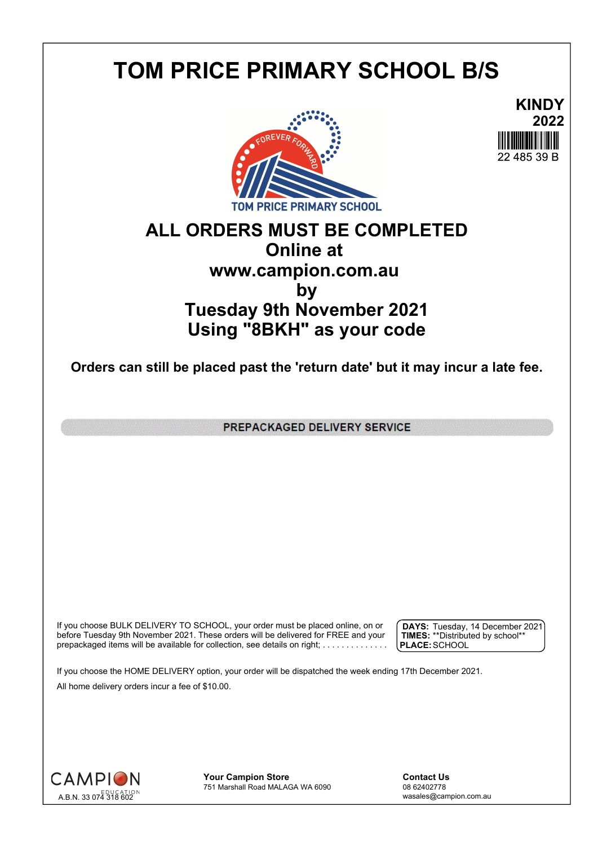## **TOM PRICE PRIMARY SCHOOL B/S**





## **ALL ORDERS MUST BE COMPLETED Online at www.campion.com.au by Tuesday 9th November 2021 Using "8BKH" as your code**

**Orders can still be placed past the 'return date' but it may incur a late fee.**

PREPACKAGED DELIVERY SERVICE

If you choose BULK DELIVERY TO SCHOOL, your order must be placed online, on or  $\int$  DAYS: Tuesday, 1 before Tuesday 9th November 2021. These orders will be delivered for FREE and your  $\;\;\;$  **| TIMES:** \*\*Distribute prepackaged items will be available for collection, see details on right; . . . . . . . . . . . . . . .

**DAYS:** Tuesday, 14 December 2021 **TIMES:** \*\*Distributed by school\*\* **PLACE:**SCHOOL

If you choose the HOME DELIVERY option, your order will be dispatched the week ending 17th December 2021. All home delivery orders incur a fee of \$10.00.



**Your Campion Store**<br>
751 Marshall Road MALAGA WA 6090<br>
08 62402778 751 Marshall Road MALAGA WA 6090

wasales@campion.com.au